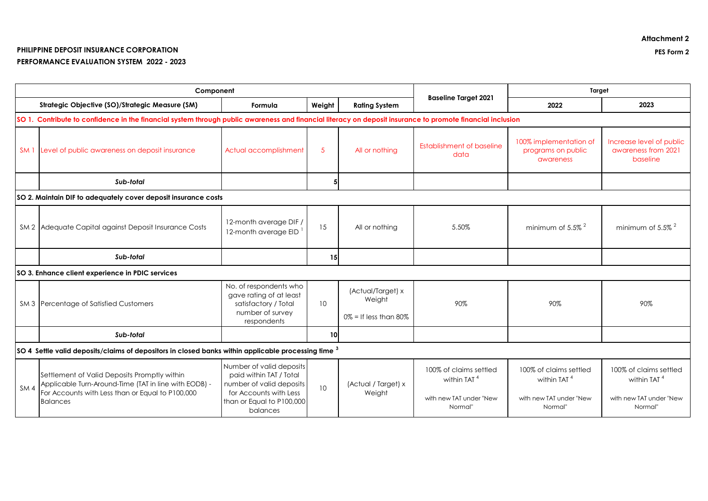## **PHILIPPINE DEPOSIT INSURANCE CORPORATION PES Form 2 PERFORMANCE EVALUATION SYSTEM 2022 - 2023**

| Component                                                                                                    |                                                                                                                                                                              |                                                                                                                                                    |            |                                                         |                                                                                         | Target                                                                                  |                                                                                         |  |  |
|--------------------------------------------------------------------------------------------------------------|------------------------------------------------------------------------------------------------------------------------------------------------------------------------------|----------------------------------------------------------------------------------------------------------------------------------------------------|------------|---------------------------------------------------------|-----------------------------------------------------------------------------------------|-----------------------------------------------------------------------------------------|-----------------------------------------------------------------------------------------|--|--|
|                                                                                                              | Strategic Objective (SO)/Strategic Measure (SM)                                                                                                                              | Formula                                                                                                                                            | Weight     | <b>Rating System</b>                                    | <b>Baseline Target 2021</b>                                                             | 2022                                                                                    | 2023                                                                                    |  |  |
|                                                                                                              | SO 1. Contribute to confidence in the financial system through public awareness and financial literacy on deposit insurance to promote financial inclusion                   |                                                                                                                                                    |            |                                                         |                                                                                         |                                                                                         |                                                                                         |  |  |
| SM <sub>1</sub>                                                                                              | Level of public awareness on deposit insurance                                                                                                                               | Actual accomplishment                                                                                                                              | $\sqrt{5}$ | All or nothing                                          | <b>Establishment of baseline</b><br>data                                                | 100% implementation of<br>programs on public<br>awareness                               | Increase level of public<br>awareness from 2021<br>baseline                             |  |  |
|                                                                                                              | Sub-total                                                                                                                                                                    |                                                                                                                                                    | 5          |                                                         |                                                                                         |                                                                                         |                                                                                         |  |  |
| SO 2. Maintain DIF to adequately cover deposit insurance costs                                               |                                                                                                                                                                              |                                                                                                                                                    |            |                                                         |                                                                                         |                                                                                         |                                                                                         |  |  |
|                                                                                                              | SM 2 Adequate Capital against Deposit Insurance Costs                                                                                                                        | 12-month average DIF /<br>12-month average EID                                                                                                     | 15         | All or nothing                                          | 5.50%                                                                                   | minimum of $5.5\%$ <sup>2</sup>                                                         | minimum of 5.5% <sup>2</sup>                                                            |  |  |
|                                                                                                              | Sub-total                                                                                                                                                                    |                                                                                                                                                    | 15         |                                                         |                                                                                         |                                                                                         |                                                                                         |  |  |
|                                                                                                              | SO 3. Enhance client experience in PDIC services                                                                                                                             |                                                                                                                                                    |            |                                                         |                                                                                         |                                                                                         |                                                                                         |  |  |
|                                                                                                              | SM 3 Percentage of Satisfied Customers                                                                                                                                       | No. of respondents who<br>gave rating of at least<br>satisfactory / Total<br>number of survey<br>respondents                                       | 10         | (Actual/Target) x<br>Weight<br>$0\%$ = If less than 80% | 90%                                                                                     | 90%                                                                                     | 90%                                                                                     |  |  |
|                                                                                                              | Sub-total                                                                                                                                                                    |                                                                                                                                                    | 10         |                                                         |                                                                                         |                                                                                         |                                                                                         |  |  |
| $ SO\ 4\,$ Settle valid deposits/claims of depositors in closed banks within applicable processing time $^3$ |                                                                                                                                                                              |                                                                                                                                                    |            |                                                         |                                                                                         |                                                                                         |                                                                                         |  |  |
| SM <sub>4</sub>                                                                                              | Settlement of Valid Deposits Promptly within<br>Applicable Turn-Around-Time (TAT in line with EODB) -<br>For Accounts with Less than or Equal to P100,000<br><b>Balances</b> | Number of valid deposits<br>paid within TAT / Total<br>number of valid deposits<br>for Accounts with Less<br>than or Equal to P100,000<br>balances | 10         | (Actual / Target) x<br>Weight                           | 100% of claims settled<br>within TAT <sup>4</sup><br>with new TAT under "New<br>Normal" | 100% of claims settled<br>within TAT <sup>4</sup><br>with new TAT under "New<br>Normal" | 100% of claims settled<br>within TAT <sup>4</sup><br>with new TAT under "New<br>Normal" |  |  |

**Attachment 2**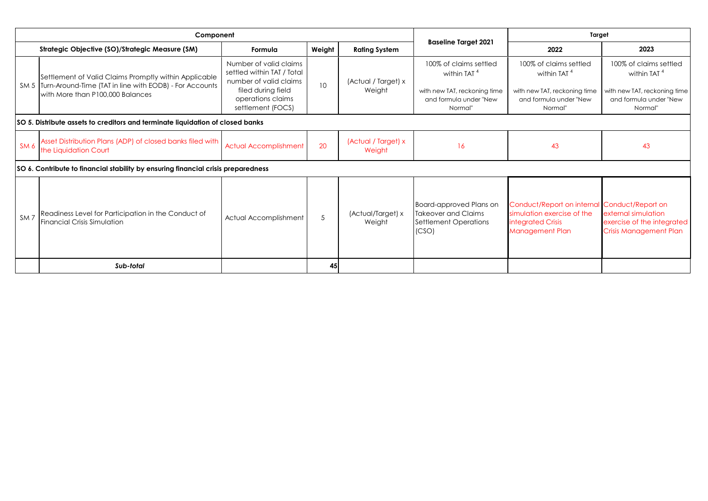| Component                                                                      |                                                                                                                                                           |                                                                                                                                                |        |                               |                                                                                                                        | Target                                                                                                                    |                                                                                                                        |  |  |
|--------------------------------------------------------------------------------|-----------------------------------------------------------------------------------------------------------------------------------------------------------|------------------------------------------------------------------------------------------------------------------------------------------------|--------|-------------------------------|------------------------------------------------------------------------------------------------------------------------|---------------------------------------------------------------------------------------------------------------------------|------------------------------------------------------------------------------------------------------------------------|--|--|
| Strategic Objective (SO)/Strategic Measure (SM)                                |                                                                                                                                                           | Formula                                                                                                                                        | Weight | <b>Rating System</b>          | <b>Baseline Target 2021</b>                                                                                            | 2022                                                                                                                      | 2023                                                                                                                   |  |  |
|                                                                                | Settlement of Valid Claims Promptly within Applicable<br>SM 5 Turn-Around-Time (TAT in line with EODB) - For Accounts<br>with More than P100,000 Balances | Number of valid claims<br>settled within TAT / Total<br>number of valid claims<br>filed during field<br>operations claims<br>settlement (FOCS) | 10     | (Actual / Target) x<br>Weight | 100% of claims settled<br>within TAT <sup>4</sup><br>with new TAT, reckoning time<br>and formula under "New<br>Normal" | 100% of claims settled<br>within TAT <sup>4</sup><br>with new TAT, reckoning time<br>and formula under "New<br>Normal"    | 100% of claims settled<br>within TAT <sup>4</sup><br>with new TAT, reckoning time<br>and formula under "New<br>Normal" |  |  |
| SO 5. Distribute assets to creditors and terminate liquidation of closed banks |                                                                                                                                                           |                                                                                                                                                |        |                               |                                                                                                                        |                                                                                                                           |                                                                                                                        |  |  |
| SM <sub>6</sub>                                                                | Asset Distribution Plans (ADP) of closed banks filed with<br>the Liquidation Court                                                                        | <b>Actual Accomplishment</b>                                                                                                                   | 20     | (Actual / Target) x<br>Weight | 16                                                                                                                     | 43                                                                                                                        | 43                                                                                                                     |  |  |
|                                                                                | SO 6. Contribute to financial stability by ensuring financial crisis preparedness                                                                         |                                                                                                                                                |        |                               |                                                                                                                        |                                                                                                                           |                                                                                                                        |  |  |
| SM <sub>7</sub>                                                                | Readiness Level for Participation in the Conduct of<br><b>Financial Crisis Simulation</b>                                                                 | Actual Accomplishment                                                                                                                          | 5      | (Actual/Target) x<br>Weight   | Board-approved Plans on<br><b>Takeover and Claims</b><br>Settlement Operations<br>(CSO)                                | Conduct/Report on internal Conduct/Report on<br>simulation exercise of the<br>integrated Crisis<br><b>Management Plan</b> | external simulation<br>exercise of the integrated<br><b>Crisis Management Plan</b>                                     |  |  |
|                                                                                | Sub-total                                                                                                                                                 |                                                                                                                                                | 45     |                               |                                                                                                                        |                                                                                                                           |                                                                                                                        |  |  |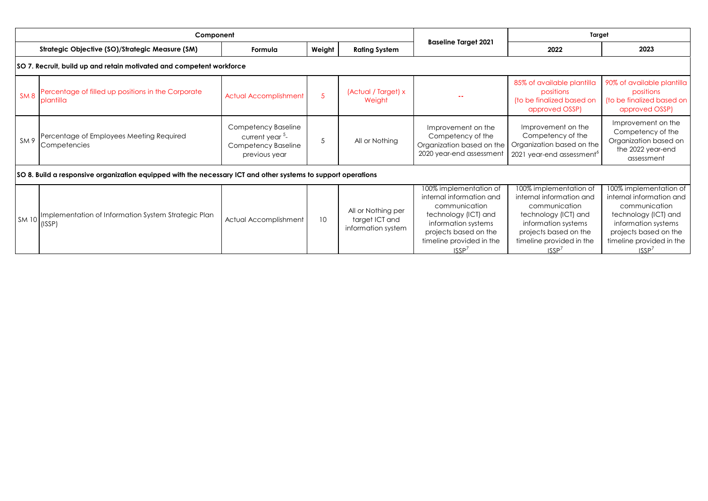| Component                                                                                                     |                                                                 |                                                                                            |                 |                                                            |                                                                                                                                                                                  | Target                                                                                                                                                                           |                                                                                                                                                                                  |  |  |
|---------------------------------------------------------------------------------------------------------------|-----------------------------------------------------------------|--------------------------------------------------------------------------------------------|-----------------|------------------------------------------------------------|----------------------------------------------------------------------------------------------------------------------------------------------------------------------------------|----------------------------------------------------------------------------------------------------------------------------------------------------------------------------------|----------------------------------------------------------------------------------------------------------------------------------------------------------------------------------|--|--|
|                                                                                                               | Strategic Objective (SO)/Strategic Measure (SM)                 | Formula                                                                                    | Weight          | <b>Rating System</b>                                       | <b>Baseline Target 2021</b>                                                                                                                                                      | 2022                                                                                                                                                                             | 2023                                                                                                                                                                             |  |  |
| SO 7. Recruit, build up and retain motivated and competent workforce                                          |                                                                 |                                                                                            |                 |                                                            |                                                                                                                                                                                  |                                                                                                                                                                                  |                                                                                                                                                                                  |  |  |
| SM8                                                                                                           | Percentage of filled up positions in the Corporate<br>plantilla | <b>Actual Accomplishment</b>                                                               | 5               | (Actual / Target) x<br>Weight                              |                                                                                                                                                                                  | 85% of available plantilla<br>positions<br>(to be finalized based on<br>approved OSSP)                                                                                           | 90% of available plantilla<br>positions<br>(to be finalized based on<br>approved OSSP)                                                                                           |  |  |
| SM 9                                                                                                          | Percentage of Employees Meeting Required<br>Competencies        | Competency Baseline<br>current year <sup>5</sup> -<br>Competency Baseline<br>previous year | 5               | All or Nothing                                             | Improvement on the<br>Competency of the<br>Organization based on the<br>2020 year-end assessment                                                                                 | Improvement on the<br>Competency of the<br>Organization based on the<br>2021 year-end assessment <sup>6</sup>                                                                    | Improvement on the<br>Competency of the<br>Organization based on<br>the 2022 year-end<br>assessment                                                                              |  |  |
| SO 8. Build a responsive organization equipped with the necessary ICT and other systems to support operations |                                                                 |                                                                                            |                 |                                                            |                                                                                                                                                                                  |                                                                                                                                                                                  |                                                                                                                                                                                  |  |  |
| <b>SM 10</b>                                                                                                  | Implementation of Information System Strategic Plan<br>(ISSP)   | Actual Accomplishment                                                                      | 10 <sup>°</sup> | All or Nothing per<br>target ICT and<br>information system | 100% implementation of<br>internal information and<br>communication<br>technology (ICT) and<br>information systems<br>projects based on the<br>timeline provided in the<br>ISSP' | 100% implementation of<br>internal information and<br>communication<br>technology (ICT) and<br>information systems<br>projects based on the<br>timeline provided in the<br>ISSP' | 100% implementation of<br>internal information and<br>communication<br>technology (ICT) and<br>information systems<br>projects based on the<br>timeline provided in the<br>ISSP' |  |  |